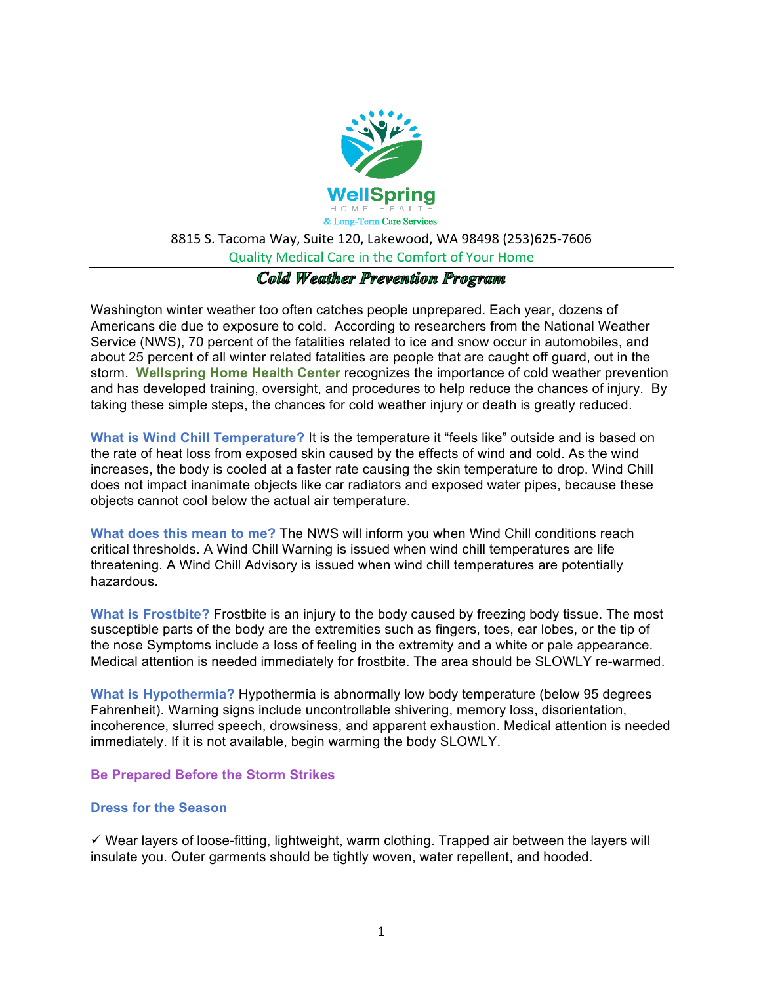

#### Quality Medical Care in the Comfort of Your Home

# Cold Weather Prevention Program

Washington winter weather too often catches people unprepared. Each year, dozens of Americans die due to exposure to cold. According to researchers from the National Weather Service (NWS), 70 percent of the fatalities related to ice and snow occur in automobiles, and about 25 percent of all winter related fatalities are people that are caught off guard, out in the storm. **Wellspring Home Health Center** recognizes the importance of cold weather prevention and has developed training, oversight, and procedures to help reduce the chances of injury. By taking these simple steps, the chances for cold weather injury or death is greatly reduced.

**What is Wind Chill Temperature?** It is the temperature it "feels like" outside and is based on the rate of heat loss from exposed skin caused by the effects of wind and cold. As the wind increases, the body is cooled at a faster rate causing the skin temperature to drop. Wind Chill does not impact inanimate objects like car radiators and exposed water pipes, because these objects cannot cool below the actual air temperature.

**What does this mean to me?** The NWS will inform you when Wind Chill conditions reach critical thresholds. A Wind Chill Warning is issued when wind chill temperatures are life threatening. A Wind Chill Advisory is issued when wind chill temperatures are potentially hazardous.

**What is Frostbite?** Frostbite is an injury to the body caused by freezing body tissue. The most susceptible parts of the body are the extremities such as fingers, toes, ear lobes, or the tip of the nose Symptoms include a loss of feeling in the extremity and a white or pale appearance. Medical attention is needed immediately for frostbite. The area should be SLOWLY re-warmed.

**What is Hypothermia?** Hypothermia is abnormally low body temperature (below 95 degrees Fahrenheit). Warning signs include uncontrollable shivering, memory loss, disorientation, incoherence, slurred speech, drowsiness, and apparent exhaustion. Medical attention is needed immediately. If it is not available, begin warming the body SLOWLY.

#### **Be Prepared Before the Storm Strikes**

#### **Dress for the Season**

 $\checkmark$  Wear layers of loose-fitting, lightweight, warm clothing. Trapped air between the layers will insulate you. Outer garments should be tightly woven, water repellent, and hooded.